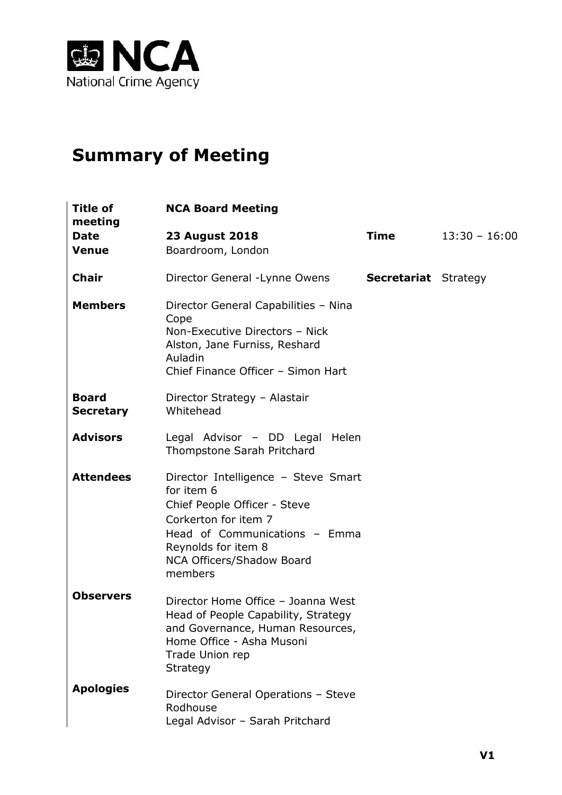

# **Summary of Meeting**

| Title of<br>meeting              | <b>NCA Board Meeting</b>                                                                                                                                                                                  |                             |                 |
|----------------------------------|-----------------------------------------------------------------------------------------------------------------------------------------------------------------------------------------------------------|-----------------------------|-----------------|
| <b>Date</b><br><b>Venue</b>      | <b>23 August 2018</b><br>Boardroom, London                                                                                                                                                                | Time                        | $13:30 - 16:00$ |
| <b>Chair</b>                     | Director General - Lynne Owens                                                                                                                                                                            | <b>Secretariat</b> Strategy |                 |
| <b>Members</b>                   | Director General Capabilities - Nina<br>Cope<br>Non-Executive Directors - Nick<br>Alston, Jane Furniss, Reshard<br>Auladin<br>Chief Finance Officer - Simon Hart                                          |                             |                 |
| <b>Board</b><br><b>Secretary</b> | Director Strategy - Alastair<br>Whitehead                                                                                                                                                                 |                             |                 |
| <b>Advisors</b>                  | Legal Advisor - DD Legal<br>Helen<br>Thompstone Sarah Pritchard                                                                                                                                           |                             |                 |
| <b>Attendees</b>                 | Director Intelligence - Steve Smart<br>for item 6<br>Chief People Officer - Steve<br>Corkerton for item 7<br>Head of Communications - Emma<br>Reynolds for item 8<br>NCA Officers/Shadow Board<br>members |                             |                 |
| <b>Observers</b>                 | Director Home Office - Joanna West<br>Head of People Capability, Strategy<br>and Governance, Human Resources,<br>Home Office - Asha Musoni<br>Trade Union rep<br>Strategy                                 |                             |                 |
| <b>Apologies</b>                 | Director General Operations - Steve<br>Rodhouse<br>Legal Advisor - Sarah Pritchard                                                                                                                        |                             |                 |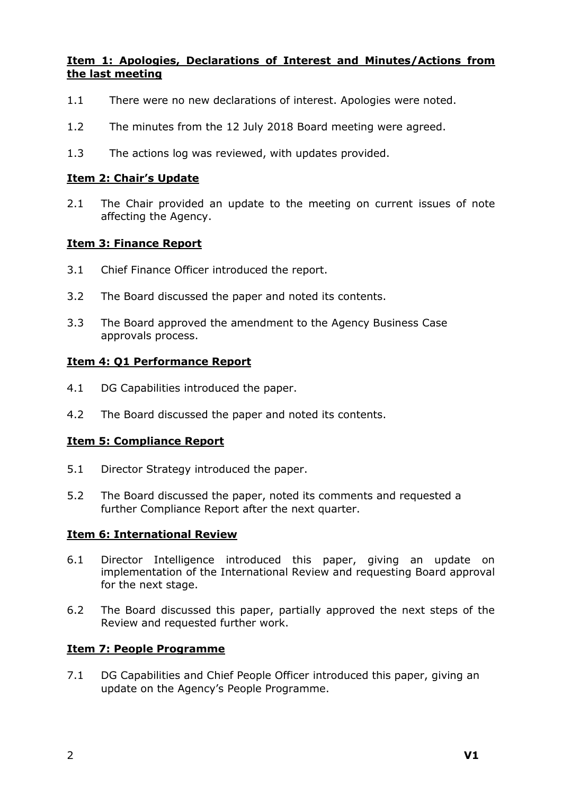# **Item 1: Apologies, Declarations of Interest and Minutes/Actions from the last meeting**

- 1.1 There were no new declarations of interest. Apologies were noted.
- 1.2 The minutes from the 12 July 2018 Board meeting were agreed.
- 1.3 The actions log was reviewed, with updates provided.

#### **Item 2: Chair's Update**

2.1 The Chair provided an update to the meeting on current issues of note affecting the Agency.

## **Item 3: Finance Report**

- 3.1 Chief Finance Officer introduced the report.
- 3.2 The Board discussed the paper and noted its contents.
- 3.3 The Board approved the amendment to the Agency Business Case approvals process.

## **Item 4: Q1 Performance Report**

- 4.1 DG Capabilities introduced the paper.
- 4.2 The Board discussed the paper and noted its contents.

#### **Item 5: Compliance Report**

- 5.1 Director Strategy introduced the paper.
- 5.2 The Board discussed the paper, noted its comments and requested a further Compliance Report after the next quarter.

#### **Item 6: International Review**

- 6.1 Director Intelligence introduced this paper, giving an update on implementation of the International Review and requesting Board approval for the next stage.
- 6.2 The Board discussed this paper, partially approved the next steps of the Review and requested further work.

## **Item 7: People Programme**

7.1 DG Capabilities and Chief People Officer introduced this paper, giving an update on the Agency's People Programme.